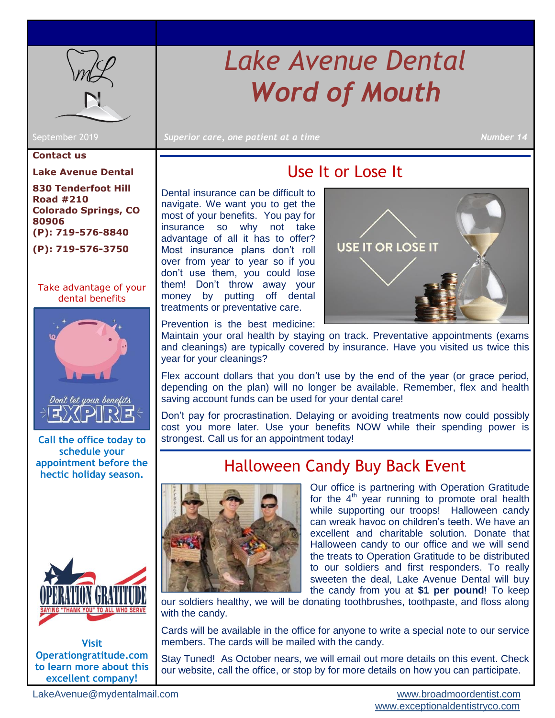<span id="page-0-2"></span>

# *Lake Avenue Dental Word of Mouth*

September 2019 **Superior care, one patient at a time Number 14**  $\blacksquare$  Number 14

#### **Contact us**

**Lake Avenue Dental**

**830 Tenderfoot Hill Road #210 Colorado Springs, CO 80906 (P): 719-576-8840 (P): 719-576-3750**

[Take advantage of your](#page-0-0)  [dental benefits](#page-0-0) 



**Call the office today to schedule your appointment before the hectic holiday season.**



**Visit Operationgratitude.com to learn more about this excellent company!**

### Use It or Lose It

<span id="page-0-0"></span>Dental insurance can be difficult to navigate. We want you to get the most of your benefits. You pay for insurance so why not take advantage of all it has to offer? Most insurance plans don't roll over from year to year so if you don't use them, you could lose them! Don't throw away your money by putting off dental treatments or preventative care.



Prevention is the best medicine:

Maintain your oral health by staying on track. Preventative appointments (exams and cleanings) are typically covered by insurance. Have you visited us twice this year for your cleanings?

Flex account dollars that you don't use by the end of the year (or grace period, depending on the plan) will no longer be available. Remember, flex and health saving account funds can be used for your dental care!

Don't pay for procrastination. Delaying or avoiding treatments now could possibly cost you more later. Use your benefits NOW while their spending power is strongest. Call us for an appointment today!

#### Halloween Candy Buy Back Event

<span id="page-0-1"></span>

Our office is partnering with Operation Gratitude for the  $4<sup>th</sup>$  year running to promote oral health while supporting our troops! Halloween candy can wreak havoc on children's teeth. We have an excellent and charitable solution. Donate that Halloween candy to our office and we will send the treats to Operation Gratitude to be distributed to our soldiers and first responders. To really sweeten the deal, Lake Avenue Dental will buy the candy from you at **\$1 per pound**! To keep

our soldiers healthy, we will be donating toothbrushes, toothpaste, and floss along with the candy.

Cards will be available in the office for anyone to write a special note to our service members. The cards will be mailed with the candy.

Stay Tuned! As October nears, we will email out more details on this event. Check our website, call the office, or stop by for more details on how you can participate.